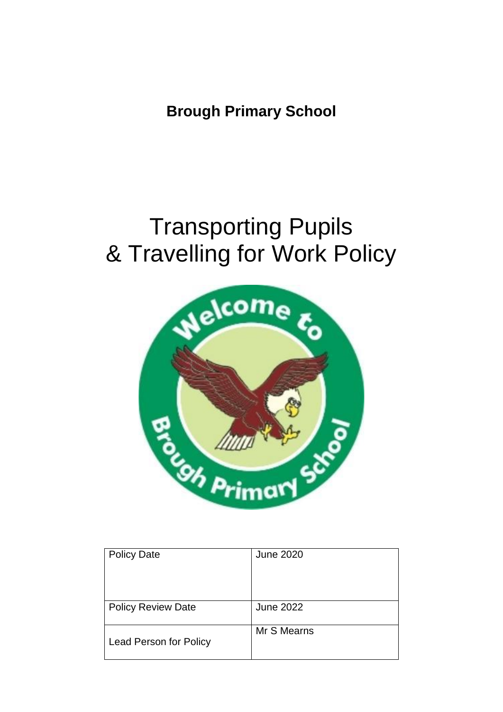**Brough Primary School**

# Transporting Pupils & Travelling for Work Policy



| <b>June 2020</b> |
|------------------|
|                  |
|                  |
|                  |
| <b>June 2022</b> |
| Mr S Mearns      |
|                  |
|                  |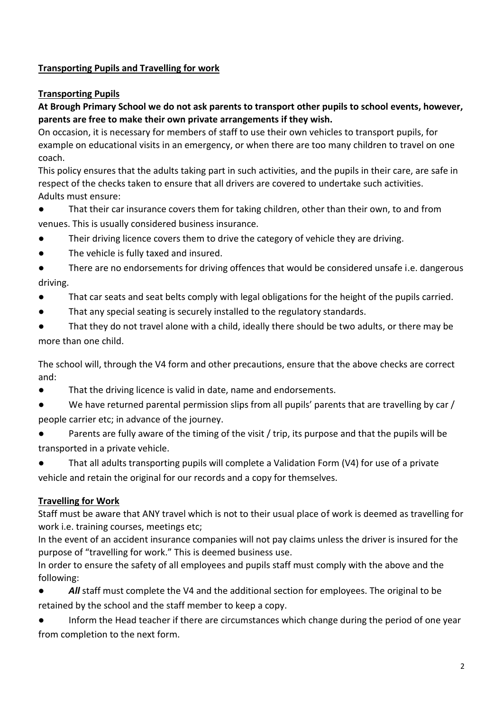### **Transporting Pupils and Travelling for work**

### **Transporting Pupils**

### **At Brough Primary School we do not ask parents to transport other pupils to school events, however, parents are free to make their own private arrangements if they wish.**

On occasion, it is necessary for members of staff to use their own vehicles to transport pupils, for example on educational visits in an emergency, or when there are too many children to travel on one coach.

This policy ensures that the adults taking part in such activities, and the pupils in their care, are safe in respect of the checks taken to ensure that all drivers are covered to undertake such activities. Adults must ensure:

- That their car insurance covers them for taking children, other than their own, to and from venues. This is usually considered business insurance.
- Their driving licence covers them to drive the category of vehicle they are driving.
- The vehicle is fully taxed and insured.
- There are no endorsements for driving offences that would be considered unsafe i.e. dangerous driving.
- That car seats and seat belts comply with legal obligations for the height of the pupils carried.
- That any special seating is securely installed to the regulatory standards.
- That they do not travel alone with a child, ideally there should be two adults, or there may be more than one child.

The school will, through the V4 form and other precautions, ensure that the above checks are correct and:

- That the driving licence is valid in date, name and endorsements.
- We have returned parental permission slips from all pupils' parents that are travelling by car / people carrier etc; in advance of the journey.
- Parents are fully aware of the timing of the visit / trip, its purpose and that the pupils will be transported in a private vehicle.
- That all adults transporting pupils will complete a Validation Form (V4) for use of a private vehicle and retain the original for our records and a copy for themselves.

### **Travelling for Work**

Staff must be aware that ANY travel which is not to their usual place of work is deemed as travelling for work i.e. training courses, meetings etc;

In the event of an accident insurance companies will not pay claims unless the driver is insured for the purpose of "travelling for work." This is deemed business use.

In order to ensure the safety of all employees and pupils staff must comply with the above and the following:

All staff must complete the V4 and the additional section for employees. The original to be retained by the school and the staff member to keep a copy.

Inform the Head teacher if there are circumstances which change during the period of one year from completion to the next form.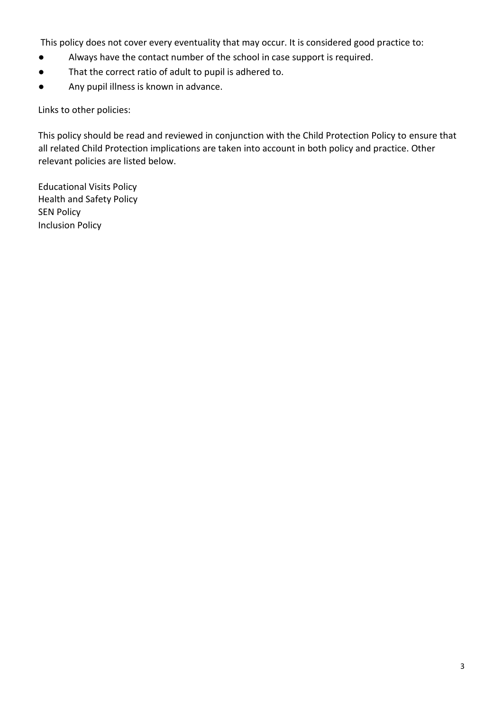This policy does not cover every eventuality that may occur. It is considered good practice to:

- Always have the contact number of the school in case support is required.
- That the correct ratio of adult to pupil is adhered to.
- Any pupil illness is known in advance.

Links to other policies:

This policy should be read and reviewed in conjunction with the Child Protection Policy to ensure that all related Child Protection implications are taken into account in both policy and practice. Other relevant policies are listed below.

Educational Visits Policy Health and Safety Policy SEN Policy Inclusion Policy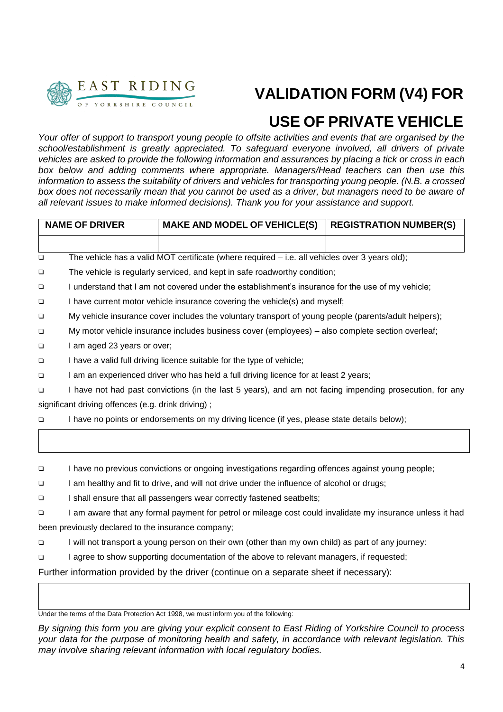

### **VALIDATION FORM (V4) FOR**

### **USE OF PRIVATE VEHICLE**

*Your offer of support to transport young people to offsite activities and events that are organised by the school/establishment is greatly appreciated. To safeguard everyone involved, all drivers of private vehicles are asked to provide the following information and assurances by placing a tick or cross in each box below and adding comments where appropriate. Managers/Head teachers can then use this information to assess the suitability of drivers and vehicles for transporting young people. (N.B. a crossed*  box does not necessarily mean that you cannot be used as a driver, but managers need to be aware of *all relevant issues to make informed decisions). Thank you for your assistance and support.*

| <b>NAME OF DRIVER</b> |                                                                                                           | <b>MAKE AND MODEL OF VEHICLE(S)</b>                                                               | <b>REGISTRATION NUMBER(S)</b> |  |  |  |
|-----------------------|-----------------------------------------------------------------------------------------------------------|---------------------------------------------------------------------------------------------------|-------------------------------|--|--|--|
|                       |                                                                                                           |                                                                                                   |                               |  |  |  |
| $\Box$                |                                                                                                           | The vehicle has a valid MOT certificate (where required - i.e. all vehicles over 3 years old);    |                               |  |  |  |
| $\Box$                | The vehicle is regularly serviced, and kept in safe roadworthy condition;                                 |                                                                                                   |                               |  |  |  |
| $\Box$                | I understand that I am not covered under the establishment's insurance for the use of my vehicle;         |                                                                                                   |                               |  |  |  |
| $\Box$                | I have current motor vehicle insurance covering the vehicle(s) and myself;                                |                                                                                                   |                               |  |  |  |
| $\Box$                | My vehicle insurance cover includes the voluntary transport of young people (parents/adult helpers);      |                                                                                                   |                               |  |  |  |
| $\Box$                | My motor vehicle insurance includes business cover (employees) - also complete section overleaf;          |                                                                                                   |                               |  |  |  |
| $\Box$                | I am aged 23 years or over;                                                                               |                                                                                                   |                               |  |  |  |
| $\Box$                | I have a valid full driving licence suitable for the type of vehicle;                                     |                                                                                                   |                               |  |  |  |
| $\Box$                | I am an experienced driver who has held a full driving licence for at least 2 years;                      |                                                                                                   |                               |  |  |  |
| $\Box$                | I have not had past convictions (in the last 5 years), and am not facing impending prosecution, for any   |                                                                                                   |                               |  |  |  |
|                       | significant driving offences (e.g. drink driving);                                                        |                                                                                                   |                               |  |  |  |
| $\Box$                |                                                                                                           | I have no points or endorsements on my driving licence (if yes, please state details below);      |                               |  |  |  |
|                       |                                                                                                           |                                                                                                   |                               |  |  |  |
| $\Box$                |                                                                                                           | I have no previous convictions or ongoing investigations regarding offences against young people; |                               |  |  |  |
| $\Box$                | I am healthy and fit to drive, and will not drive under the influence of alcohol or drugs;                |                                                                                                   |                               |  |  |  |
| $\Box$                | I shall ensure that all passengers wear correctly fastened seatbelts;                                     |                                                                                                   |                               |  |  |  |
| $\Box$                | I am aware that any formal payment for petrol or mileage cost could invalidate my insurance unless it had |                                                                                                   |                               |  |  |  |

been previously declared to the insurance company;

❑ I will not transport a young person on their own (other than my own child) as part of any journey:

❑ I agree to show supporting documentation of the above to relevant managers, if requested;

Further information provided by the driver (continue on a separate sheet if necessary):

Under the terms of the Data Protection Act 1998, we must inform you of the following:

*By signing this form you are giving your explicit consent to East Riding of Yorkshire Council to process your data for the purpose of monitoring health and safety, in accordance with relevant legislation. This may involve sharing relevant information with local regulatory bodies.*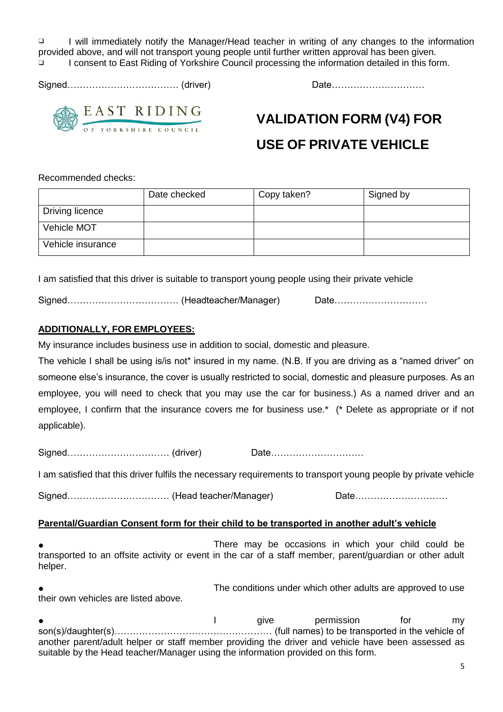❑ I will immediately notify the Manager/Head teacher in writing of any changes to the information provided above, and will not transport young people until further written approval has been given.

❑ I consent to East Riding of Yorkshire Council processing the information detailed in this form.

Signed……………………………… (driver) Date…………………………



EAST RIDING

## **VALIDATION FORM (V4) FOR**

### **USE OF PRIVATE VEHICLE**

Recommended checks:

|                   | Date checked | Copy taken? | Signed by |
|-------------------|--------------|-------------|-----------|
| Driving licence   |              |             |           |
| Vehicle MOT       |              |             |           |
| Vehicle insurance |              |             |           |

I am satisfied that this driver is suitable to transport young people using their private vehicle

Signed…………………………………………(Headteacher/Manager) Date……………………………

### **ADDITIONALLY, FOR EMPLOYEES:**

My insurance includes business use in addition to social, domestic and pleasure.

The vehicle I shall be using is/is not\* insured in my name. (N.B. If you are driving as a "named driver" on someone else's insurance, the cover is usually restricted to social, domestic and pleasure purposes. As an employee, you will need to check that you may use the car for business.) As a named driver and an employee, I confirm that the insurance covers me for business use.\* (\* Delete as appropriate or if not applicable).

Signed…………………………… (driver) Date…………………………

I am satisfied that this driver fulfils the necessary requirements to transport young people by private vehicle

Signed………………………………………………(Head teacher/Manager) Date……………………………………………………………………………

#### **Parental/Guardian Consent form for their child to be transported in another adult's vehicle**

There may be occasions in which your child could be transported to an offsite activity or event in the car of a staff member, parent/guardian or other adult helper.

The conditions under which other adults are approved to use their own vehicles are listed above.

● Particle permission for the my divergence of the material of the material of the material of the material of the material of the material of the material of the material of the material of the material of the material o son(s)/daughter(s)…………………………………………… (full names) to be transported in the vehicle of another parent/adult helper or staff member providing the driver and vehicle have been assessed as suitable by the Head teacher/Manager using the information provided on this form.